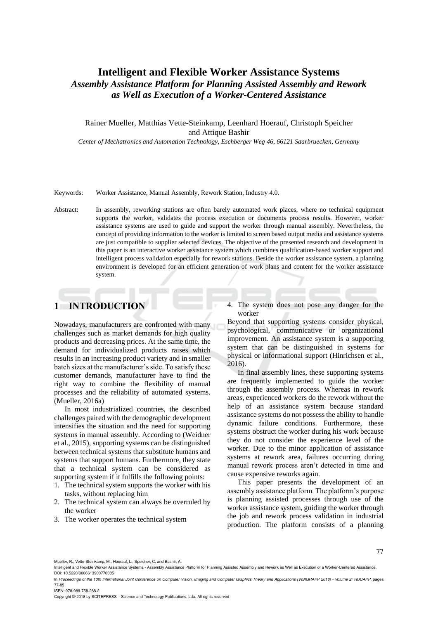# **Intelligent and Flexible Worker Assistance Systems** *Assembly Assistance Platform for Planning Assisted Assembly and Rework as Well as Execution of a Worker-Centered Assistance*

### Rainer Mueller, Matthias Vette-Steinkamp, Leenhard Hoerauf, Christoph Speicher and Attique Bashir

*Center of Mechatronics and Automation Technology, Eschberger Weg 46, 66121 Saarbruecken, Germany*

#### Keywords: Worker Assistance, Manual Assembly, Rework Station, Industry 4.0.

Abstract: In assembly, reworking stations are often barely automated work places, where no technical equipment supports the worker, validates the process execution or documents process results. However, worker assistance systems are used to guide and support the worker through manual assembly. Nevertheless, the concept of providing information to the worker is limited to screen based output media and assistance systems are just compatible to supplier selected devices. The objective of the presented research and development in this paper is an interactive worker assistance system which combines qualification-based worker support and intelligent process validation especially for rework stations. Beside the worker assistance system, a planning environment is developed for an efficient generation of work plans and content for the worker assistance system.

# **1 INTRODUCTION**

Nowadays, manufacturers are confronted with many challenges such as market demands for high quality products and decreasing prices. At the same time, the demand for individualized products raises which results in an increasing product variety and in smaller batch sizes at the manufacturer's side. To satisfy these customer demands, manufacturer have to find the right way to combine the flexibility of manual processes and the reliability of automated systems. (Mueller, 2016a)

In most industrialized countries, the described challenges paired with the demographic development intensifies the situation and the need for supporting systems in manual assembly. According to (Weidner et al., 2015), supporting systems can be distinguished between technical systems that substitute humans and systems that support humans. Furthermore, they state that a technical system can be considered as supporting system if it fulfills the following points:

- 1. The technical system supports the worker with his tasks, without replacing him
- 2. The technical system can always be overruled by the worker
- 3. The worker operates the technical system

4. The system does not pose any danger for the worker

Beyond that supporting systems consider physical, psychological, communicative or organizational improvement. An assistance system is a supporting system that can be distinguished in systems for physical or informational support (Hinrichsen et al., 2016).

In final assembly lines, these supporting systems are frequently implemented to guide the worker through the assembly process. Whereas in rework areas, experienced workers do the rework without the help of an assistance system because standard assistance systems do not possess the ability to handle dynamic failure conditions. Furthermore, these systems obstruct the worker during his work because they do not consider the experience level of the worker. Due to the minor application of assistance systems at rework area, failures occurring during manual rework process aren't detected in time and cause expensive reworks again.

This paper presents the development of an assembly assistance platform. The platform's purpose is planning assisted processes through use of the worker assistance system, guiding the worker through the job and rework process validation in industrial production. The platform consists of a planning

Mueller, R., Vette-Steinkamp, M., Hoerauf, L., Speicher, C. and Bashir, A.

ISBN: 978-989-758-288-2

Copyright © 2018 by SCITEPRESS – Science and Technology Publications, Lda. All rights reserved

Intelligent and Flexible Worker Assistance Systems - Assembly Assistance Platform for Planning Assisted Assembly and Rework as Well as Execution of a Worker-Centered Assistance. DOI: 10.5220/0006613900770085

In *Proceedings of the 13th International Joint Conference on Computer Vision, Imaging and Computer Graphics Theory and Applications (VISIGRAPP 2018) - Volume 2: HUCAPP*, pages 77-85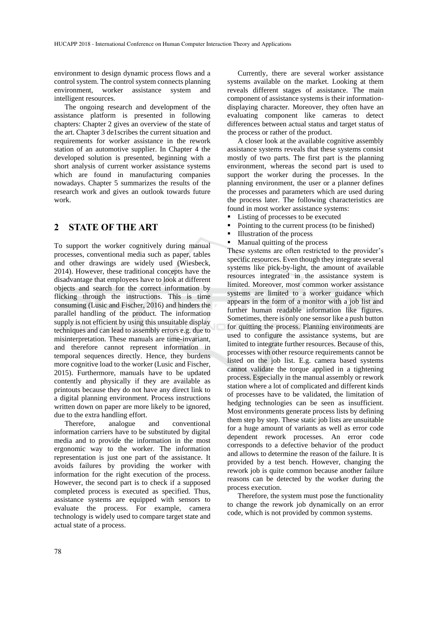environment to design dynamic process flows and a control system. The control system connects planning environment, worker assistance system and intelligent resources.

The ongoing research and development of the assistance platform is presented in following chapters: Chapter 2 gives an overview of the state of the art. Chapter 3 de1scribes the current situation and requirements for worker assistance in the rework station of an automotive supplier. In Chapter 4 the developed solution is presented, beginning with a short analysis of current worker assistance systems which are found in manufacturing companies nowadays. Chapter 5 summarizes the results of the research work and gives an outlook towards future work.

### **2 STATE OF THE ART**

To support the worker cognitively during manual processes, conventional media such as paper, tables and other drawings are widely used (Wiesbeck, 2014). However, these traditional concepts have the disadvantage that employees have to look at different objects and search for the correct information by flicking through the instructions. This is time consuming (Lusic and Fischer, 2016) and hinders the parallel handling of the product. The information supply is not efficient by using this unsuitable display techniques and can lead to assembly errors e.g. due to misinterpretation. These manuals are time-invariant, and therefore cannot represent information in temporal sequences directly. Hence, they burdens more cognitive load to the worker (Lusic and Fischer, 2015). Furthermore, manuals have to be updated contently and physically if they are available as printouts because they do not have any direct link to a digital planning environment. Process instructions written down on paper are more likely to be ignored, due to the extra handling effort.

Therefore, analogue and conventional information carriers have to be substituted by digital media and to provide the information in the most ergonomic way to the worker. The information representation is just one part of the assistance. It avoids failures by providing the worker with information for the right execution of the process. However, the second part is to check if a supposed completed process is executed as specified. Thus, assistance systems are equipped with sensors to evaluate the process. For example, camera technology is widely used to compare target state and actual state of a process.

Currently, there are several worker assistance systems available on the market. Looking at them reveals different stages of assistance. The main component of assistance systems is their informationdisplaying character. Moreover, they often have an evaluating component like cameras to detect differences between actual status and target status of the process or rather of the product.

A closer look at the available cognitive assembly assistance systems reveals that these systems consist mostly of two parts. The first part is the planning environment, whereas the second part is used to support the worker during the processes. In the planning environment, the user or a planner defines the processes and parameters which are used during the process later. The following characteristics are found in most worker assistance systems:

- Listing of processes to be executed
- Pointing to the current process (to be finished)
- Illustration of the process
- Manual quitting of the process

These systems are often restricted to the provider's specific resources. Even though they integrate several systems like pick-by-light, the amount of available resources integrated in the assistance system is limited. Moreover, most common worker assistance systems are limited to a worker guidance which appears in the form of a monitor with a job list and further human readable information like figures. Sometimes, there is only one sensor like a push button for quitting the process. Planning environments are used to configure the assistance systems, but are limited to integrate further resources. Because of this, processes with other resource requirements cannot be listed on the job list. E.g. camera based systems cannot validate the torque applied in a tightening process. Especially in the manual assembly or rework station where a lot of complicated and different kinds of processes have to be validated, the limitation of hedging technologies can be seen as insufficient. Most environments generate process lists by defining them step by step. These static job lists are unsuitable for a huge amount of variants as well as error code dependent rework processes. An error code corresponds to a defective behavior of the product and allows to determine the reason of the failure. It is provided by a test bench. However, changing the rework job is quite common because another failure reasons can be detected by the worker during the process execution.

Therefore, the system must pose the functionality to change the rework job dynamically on an error code, which is not provided by common systems.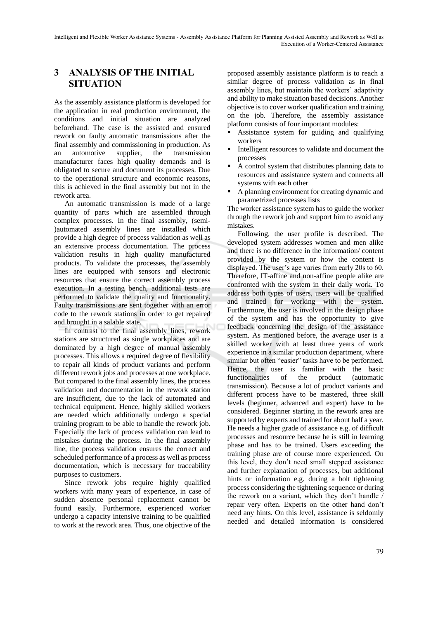# **3 ANALYSIS OF THE INITIAL SITUATION**

As the assembly assistance platform is developed for the application in real production environment, the conditions and initial situation are analyzed beforehand. The case is the assisted and ensured rework on faulty automatic transmissions after the final assembly and commissioning in production. As an automotive supplier, the transmission manufacturer faces high quality demands and is obligated to secure and document its processes. Due to the operational structure and economic reasons, this is achieved in the final assembly but not in the rework area.

An automatic transmission is made of a large quantity of parts which are assembled through complex processes. In the final assembly, (semi- )automated assembly lines are installed which provide a high degree of process validation as well as an extensive process documentation. The process validation results in high quality manufactured products. To validate the processes, the assembly lines are equipped with sensors and electronic resources that ensure the correct assembly process execution. In a testing bench, additional tests are performed to validate the quality and functionality. Faulty transmissions are sent together with an error code to the rework stations in order to get repaired and brought in a salable state.

In contrast to the final assembly lines, rework stations are structured as single workplaces and are dominated by a high degree of manual assembly processes. This allows a required degree of flexibility to repair all kinds of product variants and perform different rework jobs and processes at one workplace. But compared to the final assembly lines, the process validation and documentation in the rework station are insufficient, due to the lack of automated and technical equipment. Hence, highly skilled workers are needed which additionally undergo a special training program to be able to handle the rework job. Especially the lack of process validation can lead to mistakes during the process. In the final assembly line, the process validation ensures the correct and scheduled performance of a process as well as process documentation, which is necessary for traceability purposes to customers.

Since rework jobs require highly qualified workers with many years of experience, in case of sudden absence personal replacement cannot be found easily. Furthermore, experienced worker undergo a capacity intensive training to be qualified to work at the rework area. Thus, one objective of the

proposed assembly assistance platform is to reach a similar degree of process validation as in final assembly lines, but maintain the workers' adaptivity and ability to make situation based decisions. Another objective is to cover worker qualification and training on the job. Therefore, the assembly assistance platform consists of four important modules:

- Assistance system for guiding and qualifying workers
- Intelligent resources to validate and document the processes
- A control system that distributes planning data to resources and assistance system and connects all systems with each other
- A planning environment for creating dynamic and parametrized processes lists

The worker assistance system has to guide the worker through the rework job and support him to avoid any mistakes.

Following, the user profile is described. The developed system addresses women and men alike and there is no difference in the information/ content provided by the system or how the content is displayed. The user's age varies from early 20s to 60. Therefore, IT-affine and non-affine people alike are confronted with the system in their daily work. To address both types of users, users will be qualified and trained for working with the system. Furthermore, the user is involved in the design phase of the system and has the opportunity to give feedback concerning the design of the assistance system. As mentioned before, the average user is a skilled worker with at least three years of work experience in a similar production department, where similar but often "easier" tasks have to be performed. Hence, the user is familiar with the basic functionalities of the product (automatic transmission). Because a lot of product variants and different process have to be mastered, three skill levels (beginner, advanced and expert) have to be considered. Beginner starting in the rework area are supported by experts and trained for about half a year. He needs a higher grade of assistance e.g. of difficult processes and resource because he is still in learning phase and has to be trained. Users exceeding the training phase are of course more experienced. On this level, they don't need small stepped assistance and further explanation of processes, but additional hints or information e.g. during a bolt tightening process considering the tightening sequence or during the rework on a variant, which they don't handle / repair very often. Experts on the other hand don't need any hints. On this level, assistance is seldomly needed and detailed information is considered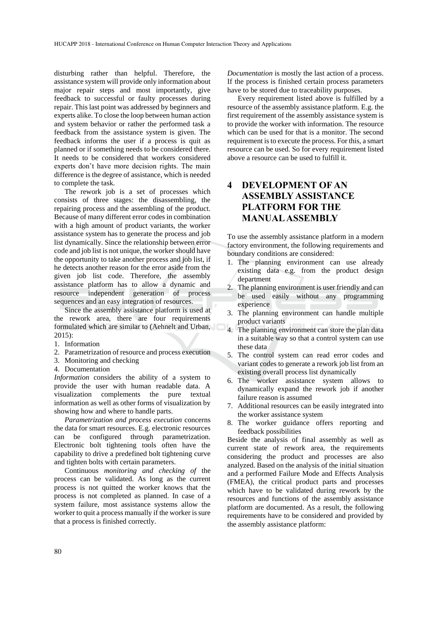disturbing rather than helpful. Therefore, the assistance system will provide only information about major repair steps and most importantly, give feedback to successful or faulty processes during repair. This last point was addressed by beginners and experts alike. To close the loop between human action and system behavior or rather the performed task a feedback from the assistance system is given. The feedback informs the user if a process is quit as planned or if something needs to be considered there. It needs to be considered that workers considered experts don't have more decision rights. The main difference is the degree of assistance, which is needed to complete the task.

The rework job is a set of processes which consists of three stages: the disassembling, the repairing process and the assembling of the product. Because of many different error codes in combination with a high amount of product variants, the worker assistance system has to generate the process and job list dynamically. Since the relationship between error code and job list is not unique, the worker should have the opportunity to take another process and job list, if he detects another reason for the error aside from the given job list code. Therefore, the assembly assistance platform has to allow a dynamic and resource independent generation of process sequences and an easy integration of resources.

Since the assembly assistance platform is used at the rework area, there are four requirements formulated which are similar to (Aehnelt and Urban,  $2015$ 

- 1. Information
- 2. Parametrization of resource and process execution
- 3. Monitoring and checking
- 4. Documentation

*Information* considers the ability of a system to provide the user with human readable data. A visualization complements the pure textual information as well as other forms of visualization by showing how and where to handle parts.

*Parametrization and process execution* concerns the data for smart resources. E.g. electronic resources can be configured through parametrization. Electronic bolt tightening tools often have the capability to drive a predefined bolt tightening curve and tighten bolts with certain parameters.

Continuous *monitoring and checking of* the process can be validated. As long as the current process is not quitted the worker knows that the process is not completed as planned. In case of a system failure, most assistance systems allow the worker to quit a process manually if the worker is sure that a process is finished correctly.

*Documentation* is mostly the last action of a process. If the process is finished certain process parameters have to be stored due to traceability purposes.

Every requirement listed above is fulfilled by a resource of the assembly assistance platform. E.g. the first requirement of the assembly assistance system is to provide the worker with information. The resource which can be used for that is a monitor. The second requirement is to execute the process. For this, a smart resource can be used. So for every requirement listed above a resource can be used to fulfill it.

# **4 DEVELOPMENT OF AN ASSEMBLY ASSISTANCE PLATFORM FOR THE MANUAL ASSEMBLY**

To use the assembly assistance platform in a modern factory environment, the following requirements and boundary conditions are considered:

- 1. The planning environment can use already existing data e.g. from the product design department
- 2. The planning environment is user friendly and can be used easily without any programming experience
- 3. The planning environment can handle multiple product variants
- 4. The planning environment can store the plan data in a suitable way so that a control system can use these data
- 5. The control system can read error codes and variant codes to generate a rework job list from an existing overall process list dynamically
- 6. The worker assistance system allows to dynamically expand the rework job if another failure reason is assumed
- 7. Additional resources can be easily integrated into the worker assistance system
- 8. The worker guidance offers reporting and feedback possibilities

Beside the analysis of final assembly as well as current state of rework area, the requirements considering the product and processes are also analyzed. Based on the analysis of the initial situation and a performed Failure Mode and Effects Analysis (FMEA), the critical product parts and processes which have to be validated during rework by the resources and functions of the assembly assistance platform are documented. As a result, the following requirements have to be considered and provided by the assembly assistance platform: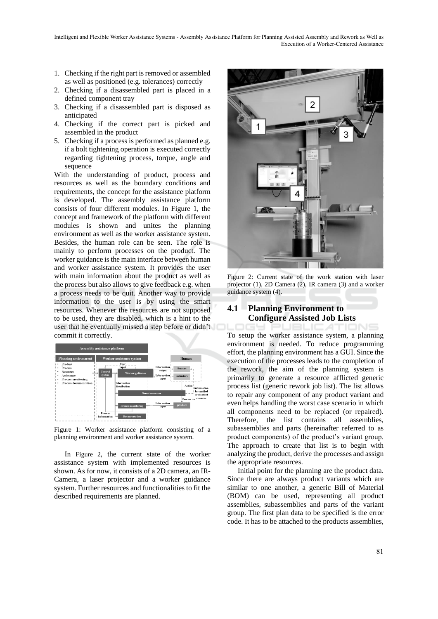Intelligent and Flexible Worker Assistance Systems - Assembly Assistance Platform for Planning Assisted Assembly and Rework as Well as Execution of a Worker-Centered Assistance

- 1. Checking if the right part is removed or assembled as well as positioned (e.g. tolerances) correctly
- 2. Checking if a disassembled part is placed in a defined component tray
- 3. Checking if a disassembled part is disposed as anticipated
- 4. Checking if the correct part is picked and assembled in the product
- 5. Checking if a process is performed as planned e.g. if a bolt tightening operation is executed correctly regarding tightening process, torque, angle and sequence

With the understanding of product, process and resources as well as the boundary conditions and requirements, the concept for the assistance platform is developed. The assembly assistance platform consists of four different modules. In Figure 1, the concept and framework of the platform with different modules is shown and unites the planning environment as well as the worker assistance system. Besides, the human role can be seen. The role is mainly to perform processes on the product. The worker guidance is the main interface between human and worker assistance system. It provides the user with main information about the product as well as the process but also allows to give feedback e.g. when a process needs to be quit. Another way to provide information to the user is by using the smart resources. Whenever the resources are not supposed to be used, they are disabled, which is a hint to the user that he eventually missed a step before or didn't commit it correctly.



Figure 1: Worker assistance platform consisting of a planning environment and worker assistance system.

In Figure 2, the current state of the worker assistance system with implemented resources is shown. As for now, it consists of a 2D camera, an IR-Camera, a laser projector and a worker guidance system. Further resources and functionalities to fit the described requirements are planned.



Figure 2: Current state of the work station with laser projector (1), 2D Camera (2), IR camera (3) and a worker guidance system (4).

### **4.1 Planning Environment to Configure Assisted Job Lists**

PUBLIC ATIONS To setup the worker assistance system, a planning environment is needed. To reduce programming effort, the planning environment has a GUI. Since the execution of the processes leads to the completion of the rework, the aim of the planning system is primarily to generate a resource afflicted generic process list (generic rework job list). The list allows to repair any component of any product variant and even helps handling the worst case scenario in which all components need to be replaced (or repaired). Therefore, the list contains all assemblies, subassemblies and parts (hereinafter referred to as product components) of the product's variant group. The approach to create that list is to begin with analyzing the product, derive the processes and assign the appropriate resources.

Initial point for the planning are the product data. Since there are always product variants which are similar to one another, a generic Bill of Material (BOM) can be used, representing all product assemblies, subassemblies and parts of the variant group. The first plan data to be specified is the error code. It has to be attached to the products assemblies,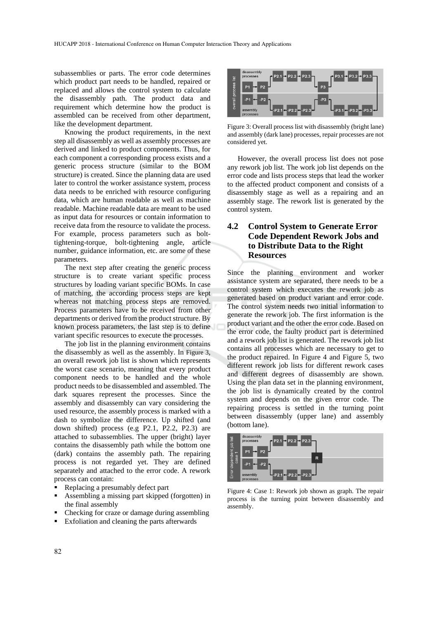subassemblies or parts. The error code determines which product part needs to be handled, repaired or replaced and allows the control system to calculate the disassembly path. The product data and requirement which determine how the product is assembled can be received from other department, like the development department.

Knowing the product requirements, in the next step all disassembly as well as assembly processes are derived and linked to product components. Thus, for each component a corresponding process exists and a generic process structure (similar to the BOM structure) is created. Since the planning data are used later to control the worker assistance system, process data needs to be enriched with resource configuring data, which are human readable as well as machine readable. Machine readable data are meant to be used as input data for resources or contain information to receive data from the resource to validate the process. For example, process parameters such as bolttightening-torque, bolt-tightening angle, article number, guidance information, etc. are some of these parameters.

The next step after creating the generic process structure is to create variant specific process structures by loading variant specific BOMs. In case of matching, the according process steps are kept whereas not matching process steps are removed. Process parameters have to be received from other departments or derived from the product structure. By known process parameters, the last step is to define variant specific resources to execute the processes.

The job list in the planning environment contains the disassembly as well as the assembly. In Figure 3, an overall rework job list is shown which represents the worst case scenario, meaning that every product component needs to be handled and the whole product needs to be disassembled and assembled. The dark squares represent the processes. Since the assembly and disassembly can vary considering the used resource, the assembly process is marked with a dash to symbolize the difference. Up shifted (and down shifted) process (e.g P2.1, P2.2, P2.3) are attached to subassemblies. The upper (bright) layer contains the disassembly path while the bottom one (dark) contains the assembly path. The repairing process is not regarded yet. They are defined separately and attached to the error code. A rework process can contain:

- Replacing a presumably defect part
- Assembling a missing part skipped (forgotten) in the final assembly
- Checking for craze or damage during assembling
- Exfoliation and cleaning the parts afterwards



Figure 3: Overall process list with disassembly (bright lane) and assembly (dark lane) processes, repair processes are not considered yet.

However, the overall process list does not pose any rework job list. The work job list depends on the error code and lists process steps that lead the worker to the affected product component and consists of a disassembly stage as well as a repairing and an assembly stage. The rework list is generated by the control system.

### **4.2 Control System to Generate Error Code Dependent Rework Jobs and to Distribute Data to the Right Resources**

Since the planning environment and worker assistance system are separated, there needs to be a control system which executes the rework job as generated based on product variant and error code. The control system needs two initial information to generate the rework job. The first information is the product variant and the other the error code. Based on the error code, the faulty product part is determined and a rework job list is generated. The rework job list contains all processes which are necessary to get to the product repaired. In Figure 4 and Figure 5, two different rework job lists for different rework cases and different degrees of disassembly are shown. Using the plan data set in the planning environment, the job list is dynamically created by the control system and depends on the given error code. The repairing process is settled in the turning point between disassembly (upper lane) and assembly (bottom lane).



Figure 4: Case 1: Rework job shown as graph. The repair process is the turning point between disassembly and assembly.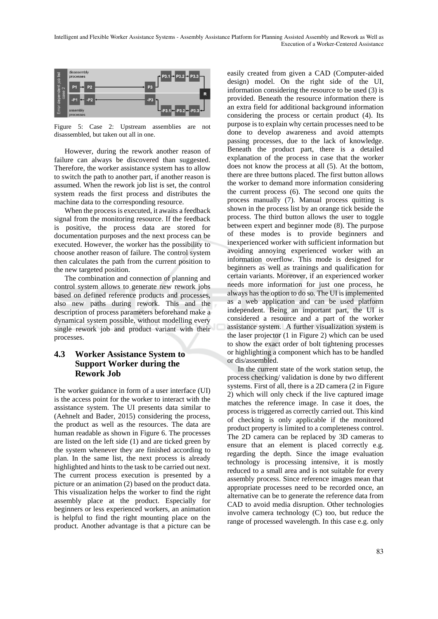

Figure 5: Case 2: Upstream assemblies are not disassembled, but taken out all in one.

However, during the rework another reason of failure can always be discovered than suggested. Therefore, the worker assistance system has to allow to switch the path to another part, if another reason is assumed. When the rework job list is set, the control system reads the first process and distributes the machine data to the corresponding resource.

When the process is executed, it awaits a feedback signal from the monitoring resource. If the feedback is positive, the process data are stored for documentation purposes and the next process can be executed. However, the worker has the possibility to choose another reason of failure. The control system then calculates the path from the current position to the new targeted position.

The combination and connection of planning and control system allows to generate new rework jobs based on defined reference products and processes, also new paths during rework. This and the description of process parameters beforehand make a dynamical system possible, without modelling every single rework job and product variant with their processes.

### **4.3 Worker Assistance System to Support Worker during the Rework Job**

The worker guidance in form of a user interface (UI) is the access point for the worker to interact with the assistance system. The UI presents data similar to (Aehnelt and Bader, 2015) considering the process, the product as well as the resources. The data are human readable as shown in Figure 6. The processes are listed on the left side (1) and are ticked green by the system whenever they are finished according to plan. In the same list, the next process is already highlighted and hints to the task to be carried out next. The current process execution is presented by a picture or an animation (2) based on the product data. This visualization helps the worker to find the right assembly place at the product. Especially for beginners or less experienced workers, an animation is helpful to find the right mounting place on the product. Another advantage is that a picture can be

easily created from given a CAD (Computer-aided design) model. On the right side of the UI, information considering the resource to be used (3) is provided. Beneath the resource information there is an extra field for additional background information considering the process or certain product (4). Its purpose is to explain why certain processes need to be done to develop awareness and avoid attempts passing processes, due to the lack of knowledge. Beneath the product part, there is a detailed explanation of the process in case that the worker does not know the process at all (5). At the bottom, there are three buttons placed. The first button allows the worker to demand more information considering the current process (6). The second one quits the process manually (7). Manual process quitting is shown in the process list by an orange tick beside the process. The third button allows the user to toggle between expert and beginner mode (8). The purpose of these modes is to provide beginners and inexperienced worker with sufficient information but avoiding annoying experienced worker with an information overflow. This mode is designed for beginners as well as trainings and qualification for certain variants. Moreover, if an experienced worker needs more information for just one process, he always has the option to do so. The UI is implemented as a web application and can be used platform independent. Being an important part, the UI is considered a resource and a part of the worker assistance system. A further visualization system is the laser projector (1 in Figure 2) which can be used to show the exact order of bolt tightening processes or highlighting a component which has to be handled or dis/assembled.

In the current state of the work station setup, the process checking/ validation is done by two different systems. First of all, there is a 2D camera (2 in Figure 2) which will only check if the live captured image matches the reference image. In case it does, the process is triggered as correctly carried out. This kind of checking is only applicable if the monitored product property is limited to a completeness control. The 2D camera can be replaced by 3D cameras to ensure that an element is placed correctly e.g. regarding the depth. Since the image evaluation technology is processing intensive, it is mostly reduced to a small area and is not suitable for every assembly process. Since reference images mean that appropriate processes need to be recorded once, an alternative can be to generate the reference data from CAD to avoid media disruption. Other technologies involve camera technology (C) too, but reduce the range of processed wavelength. In this case e.g. only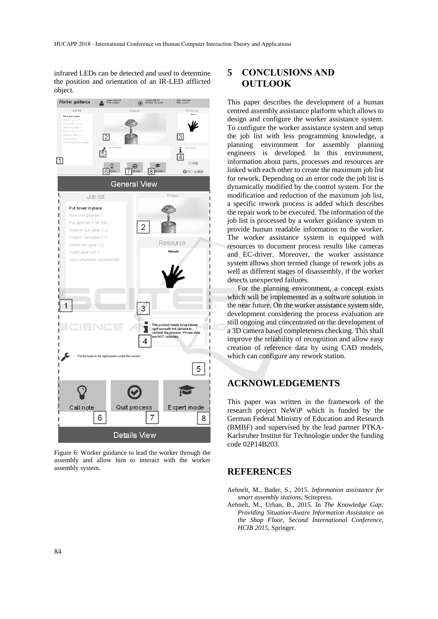infrared LEDs can be detected and used to determine the position and orientation of an IR-LED afflicted object.



Figure 6: Worker guidance to lead the worker through the assembly and allow him to interact with the worker assembly system.

# **5 CONCLUSIONS AND OUTLOOK**

This paper describes the development of a human centred assembly assistance platform which allows to design and configure the worker assistance system. To configure the worker assistance system and setup the job list with less programming knowledge, a planning environment for assembly planning engineers is developed. In this environment, information about parts, processes and resources are linked with each other to create the maximum job list for rework. Depending on an error code the job list is dynamically modified by the control system. For the modification and reduction of the maximum job list, a specific rework process is added which describes the repair work to be executed. The information of the job list is processed by a worker guidance system to provide human readable information to the worker. The worker assistance system is equipped with resources to document process results like cameras and EC-driver. Moreover, the worker assistance system allows short termed change of rework jobs as well as different stages of disassembly, if the worker detects unexpected failures.

For the planning environment, a concept exists which will be implemented as a software solution in the near future. On the worker assistance system side, development considering the process evaluation are still ongoing and concentrated on the development of a 3D camera based completeness checking. This shall improve the reliability of recognition and allow easy creation of reference data by using CAD models, which can configure any rework station.

## **ACKNOWLEDGEMENTS**

This paper was written in the framework of the research project NeWiP which is funded by the German Federal Ministry of Education and Research (BMBF) and supervised by the lead partner PTKA-Karlsruher Institut für Technologie under the funding code 02P14B203.

### **REFERENCES**

- Aehnelt, M., Bader, S., 2015. *Information assistance for smart assembly stations*, Scitepress.
- Aehnelt, M., Urban, B., 2015. In *The Knowledge Gap: Providing Situation-Aware Information Assistance on the Shop Floor*, *Second International Conference, HCIB 2015,* Springer.